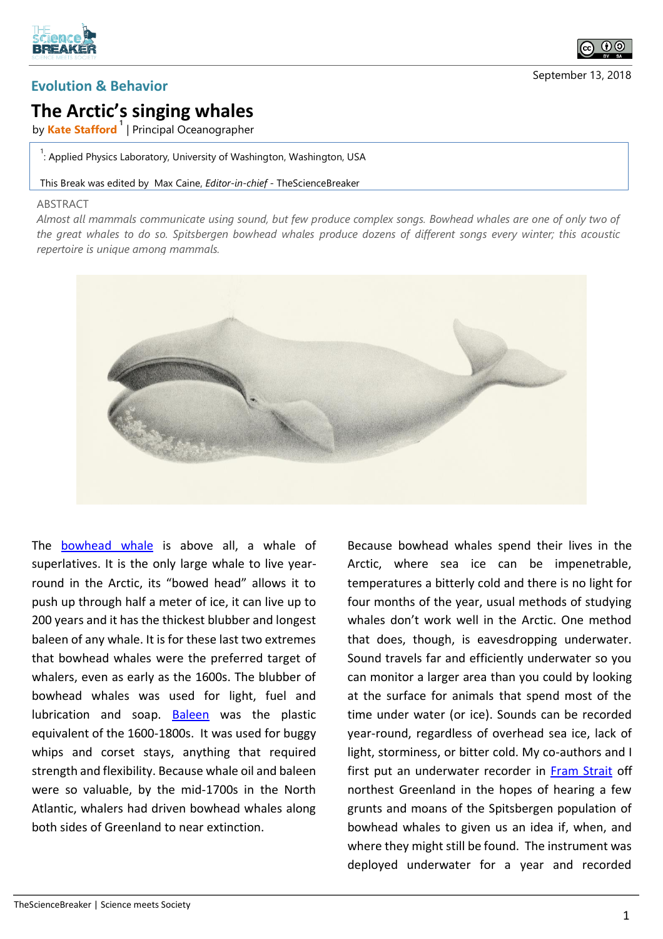



## **The Arctic's singing whales**

by **Kate Stafford <sup>1</sup>** | Principal Oceanographer

 $\frac{1}{1}$ : Applied Physics Laboratory, University of Washington, Washington, USA

## This Break was edited by Max Caine, *Editor-in-chief* - TheScienceBreaker

## ABSTRACT

*Almost all mammals communicate using sound, but few produce complex songs. Bowhead whales are one of only two of the great whales to do so. Spitsbergen bowhead whales produce dozens of different songs every winter; this acoustic repertoire is unique among mammals.*



The **bowhead** whale is above all, a whale of superlatives. It is the only large whale to live yearround in the Arctic, its "bowed head" allows it to push up through half a meter of ice, it can live up to 200 years and it has the thickest blubber and longest baleen of any whale. It is for these last two extremes that bowhead whales were the preferred target of whalers, even as early as the 1600s. The blubber of bowhead whales was used for light, fuel and lubrication and soap. [Baleen](https://en.wikipedia.org/wiki/Baleen) was the plastic equivalent of the 1600-1800s. It was used for buggy whips and corset stays, anything that required strength and flexibility. Because whale oil and baleen were so valuable, by the mid-1700s in the North Atlantic, whalers had driven bowhead whales along both sides of Greenland to near extinction.

Because bowhead whales spend their lives in the Arctic, where sea ice can be impenetrable, temperatures a bitterly cold and there is no light for four months of the year, usual methods of studying whales don't work well in the Arctic. One method that does, though, is eavesdropping underwater. Sound travels far and efficiently underwater so you can monitor a larger area than you could by looking at the surface for animals that spend most of the time under water (or ice). Sounds can be recorded year-round, regardless of overhead sea ice, lack of light, storminess, or bitter cold. My co-authors and I first put an underwater recorder in [Fram Strait](https://en.wikipedia.org/wiki/Fram_Strait) off northest Greenland in the hopes of hearing a few grunts and moans of the Spitsbergen population of bowhead whales to given us an idea if, when, and where they might still be found. The instrument was deployed underwater for a year and recorded